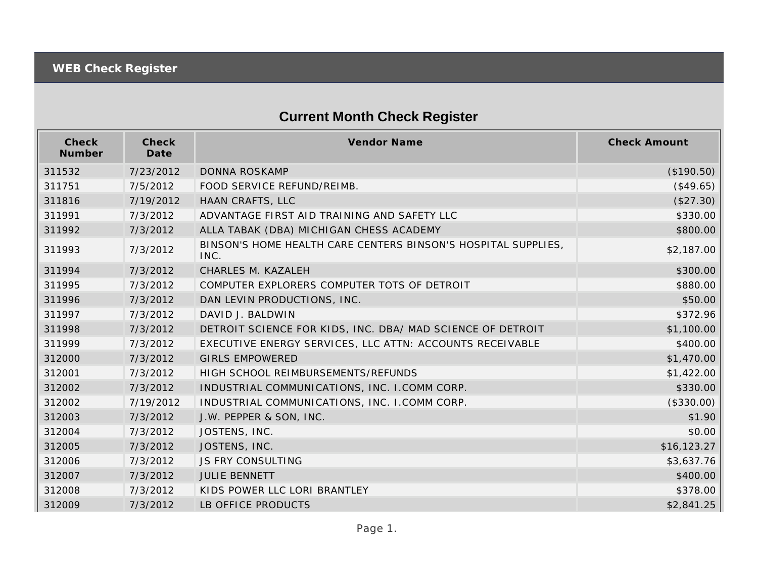## **Current Month Check Register**

| Check<br>Number | Check<br>Date | <b>Vendor Name</b>                                                    | <b>Check Amount</b> |
|-----------------|---------------|-----------------------------------------------------------------------|---------------------|
| 311532          | 7/23/2012     | DONNA ROSKAMP                                                         | (\$190.50)          |
| 311751          | 7/5/2012      | FOOD SERVICE REFUND/REIMB.                                            | (\$49.65)           |
| 311816          | 7/19/2012     | HAAN CRAFTS, LLC                                                      | (\$27.30)           |
| 311991          | 7/3/2012      | ADVANTAGE FIRST AID TRAINING AND SAFETY LLC                           | \$330.00            |
| 311992          | 7/3/2012      | ALLA TABAK (DBA) MICHIGAN CHESS ACADEMY                               | \$800.00            |
| 311993          | 7/3/2012      | BINSON'S HOME HEALTH CARE CENTERS BINSON'S HOSPITAL SUPPLIES,<br>INC. | \$2,187.00          |
| 311994          | 7/3/2012      | CHARLES M. KAZALEH                                                    | \$300.00            |
| 311995          | 7/3/2012      | COMPUTER EXPLORERS COMPUTER TOTS OF DETROIT                           | \$880.00            |
| 311996          | 7/3/2012      | DAN LEVIN PRODUCTIONS, INC.                                           | \$50.00             |
| 311997          | 7/3/2012      | DAVID J. BALDWIN                                                      | \$372.96            |
| 311998          | 7/3/2012      | DETROIT SCIENCE FOR KIDS, INC. DBA/ MAD SCIENCE OF DETROIT            | \$1,100.00          |
| 311999          | 7/3/2012      | EXECUTIVE ENERGY SERVICES, LLC ATTN: ACCOUNTS RECEIVABLE              | \$400.00            |
| 312000          | 7/3/2012      | <b>GIRLS EMPOWERED</b>                                                | \$1,470.00          |
| 312001          | 7/3/2012      | HIGH SCHOOL REIMBURSEMENTS/REFUNDS                                    | \$1,422.00          |
| 312002          | 7/3/2012      | INDUSTRIAL COMMUNICATIONS, INC. I.COMM CORP.                          | \$330.00            |
| 312002          | 7/19/2012     | INDUSTRIAL COMMUNICATIONS, INC. I.COMM CORP.                          | (\$330.00)          |
| 312003          | 7/3/2012      | J.W. PEPPER & SON, INC.                                               | \$1.90              |
| 312004          | 7/3/2012      | JOSTENS, INC.                                                         | \$0.00              |
| 312005          | 7/3/2012      | JOSTENS, INC.                                                         | \$16,123.27         |
| 312006          | 7/3/2012      | <b>JS FRY CONSULTING</b>                                              | \$3,637.76          |
| 312007          | 7/3/2012      | <b>JULIE BENNETT</b>                                                  | \$400.00            |
| 312008          | 7/3/2012      | KIDS POWER LLC LORI BRANTLEY                                          | \$378.00            |
| 312009          | 7/3/2012      | LB OFFICE PRODUCTS                                                    | \$2,841.25          |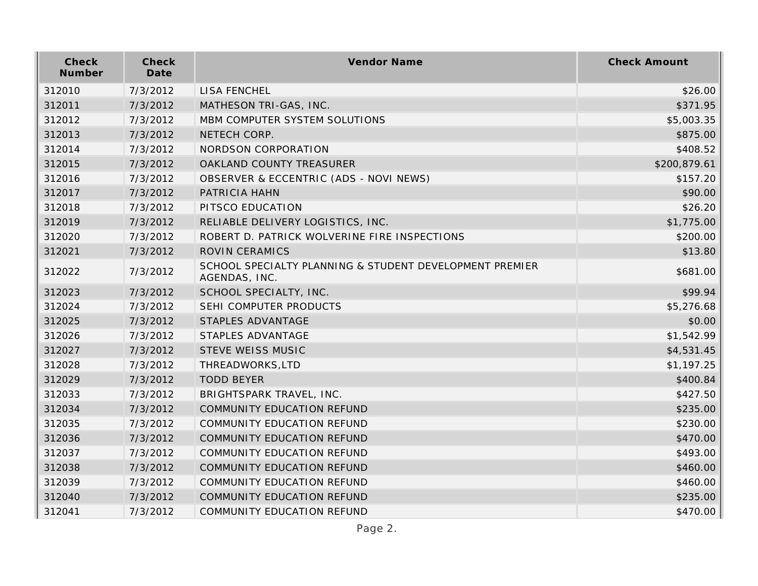| Check<br>Number | Check<br>Date | Vendor Name                                                              | <b>Check Amount</b> |
|-----------------|---------------|--------------------------------------------------------------------------|---------------------|
| 312010          | 7/3/2012      | <b>LISA FENCHEL</b>                                                      | \$26.00             |
| 312011          | 7/3/2012      | MATHESON TRI-GAS, INC.                                                   | \$371.95            |
| 312012          | 7/3/2012      | MBM COMPUTER SYSTEM SOLUTIONS                                            | \$5,003.35          |
| 312013          | 7/3/2012      | NETECH CORP.                                                             | \$875.00            |
| 312014          | 7/3/2012      | NORDSON CORPORATION                                                      | \$408.52            |
| 312015          | 7/3/2012      | OAKLAND COUNTY TREASURER                                                 | \$200,879.61        |
| 312016          | 7/3/2012      | OBSERVER & ECCENTRIC (ADS - NOVI NEWS)                                   | \$157.20            |
| 312017          | 7/3/2012      | PATRICIA HAHN                                                            | \$90.00             |
| 312018          | 7/3/2012      | PITSCO EDUCATION                                                         | \$26.20             |
| 312019          | 7/3/2012      | RELIABLE DELIVERY LOGISTICS, INC.                                        | \$1,775.00          |
| 312020          | 7/3/2012      | ROBERT D. PATRICK WOLVERINE FIRE INSPECTIONS                             | \$200.00            |
| 312021          | 7/3/2012      | ROVIN CERAMICS                                                           | \$13.80             |
| 312022          | 7/3/2012      | SCHOOL SPECIALTY PLANNING & STUDENT DEVELOPMENT PREMIER<br>AGENDAS, INC. | \$681.00            |
| 312023          | 7/3/2012      | SCHOOL SPECIALTY, INC.                                                   | \$99.94             |
| 312024          | 7/3/2012      | SEHI COMPUTER PRODUCTS                                                   | \$5,276.68          |
| 312025          | 7/3/2012      | STAPLES ADVANTAGE                                                        | \$0.00              |
| 312026          | 7/3/2012      | STAPLES ADVANTAGE                                                        | \$1,542.99          |
| 312027          | 7/3/2012      | STEVE WEISS MUSIC                                                        | \$4,531.45          |
| 312028          | 7/3/2012      | THREADWORKS, LTD                                                         | \$1,197.25          |
| 312029          | 7/3/2012      | <b>TODD BEYER</b>                                                        | \$400.84            |
| 312033          | 7/3/2012      | BRIGHTSPARK TRAVEL, INC.                                                 | \$427.50            |
| 312034          | 7/3/2012      | COMMUNITY EDUCATION REFUND                                               | \$235.00            |
| 312035          | 7/3/2012      | COMMUNITY EDUCATION REFUND                                               | \$230.00            |
| 312036          | 7/3/2012      | COMMUNITY EDUCATION REFUND                                               | \$470.00            |
| 312037          | 7/3/2012      | <b>COMMUNITY EDUCATION REFUND</b>                                        | \$493.00            |
| 312038          | 7/3/2012      | COMMUNITY EDUCATION REFUND                                               | \$460.00            |
| 312039          | 7/3/2012      | COMMUNITY EDUCATION REFUND                                               | \$460.00            |
| 312040          | 7/3/2012      | COMMUNITY EDUCATION REFUND                                               | \$235.00            |
| 312041          | 7/3/2012      | COMMUNITY EDUCATION REFUND                                               | \$470.00            |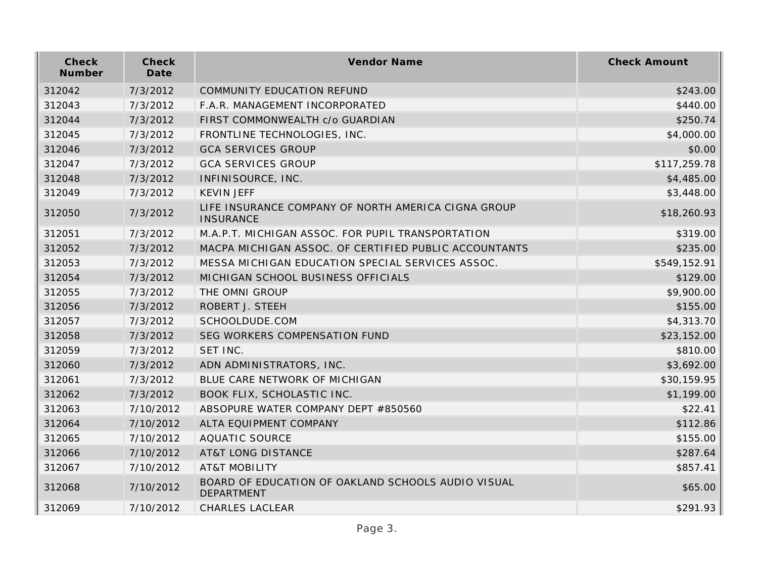| Check<br>Number | Check<br>Date | Vendor Name                                                             | <b>Check Amount</b> |
|-----------------|---------------|-------------------------------------------------------------------------|---------------------|
| 312042          | 7/3/2012      | <b>COMMUNITY EDUCATION REFUND</b>                                       | \$243.00            |
| 312043          | 7/3/2012      | F.A.R. MANAGEMENT INCORPORATED                                          | \$440.00            |
| 312044          | 7/3/2012      | FIRST COMMONWEALTH c/o GUARDIAN                                         | \$250.74            |
| 312045          | 7/3/2012      | FRONTLINE TECHNOLOGIES, INC.                                            | \$4,000.00          |
| 312046          | 7/3/2012      | <b>GCA SERVICES GROUP</b>                                               | \$0.00              |
| 312047          | 7/3/2012      | <b>GCA SERVICES GROUP</b>                                               | \$117,259.78        |
| 312048          | 7/3/2012      | INFINISOURCE, INC.                                                      | \$4,485.00          |
| 312049          | 7/3/2012      | <b>KEVIN JEFF</b>                                                       | \$3,448.00          |
| 312050          | 7/3/2012      | LIFE INSURANCE COMPANY OF NORTH AMERICA CIGNA GROUP<br><b>INSURANCE</b> | \$18,260.93         |
| 312051          | 7/3/2012      | M.A.P.T. MICHIGAN ASSOC. FOR PUPIL TRANSPORTATION                       | \$319.00            |
| 312052          | 7/3/2012      | MACPA MICHIGAN ASSOC. OF CERTIFIED PUBLIC ACCOUNTANTS                   | \$235.00            |
| 312053          | 7/3/2012      | MESSA MICHIGAN EDUCATION SPECIAL SERVICES ASSOC.                        | \$549,152.91        |
| 312054          | 7/3/2012      | MICHIGAN SCHOOL BUSINESS OFFICIALS                                      | \$129.00            |
| 312055          | 7/3/2012      | THE OMNI GROUP                                                          | \$9,900.00          |
| 312056          | 7/3/2012      | ROBERT J. STEEH                                                         | \$155.00            |
| 312057          | 7/3/2012      | SCHOOLDUDE.COM                                                          | \$4,313.70          |
| 312058          | 7/3/2012      | SEG WORKERS COMPENSATION FUND                                           | \$23,152.00         |
| 312059          | 7/3/2012      | SET INC.                                                                | \$810.00            |
| 312060          | 7/3/2012      | ADN ADMINISTRATORS, INC.                                                | \$3,692.00          |
| 312061          | 7/3/2012      | BLUE CARE NETWORK OF MICHIGAN                                           | \$30,159.95         |
| 312062          | 7/3/2012      | BOOK FLIX, SCHOLASTIC INC.                                              | \$1,199.00          |
| 312063          | 7/10/2012     | ABSOPURE WATER COMPANY DEPT #850560                                     | \$22.41             |
| 312064          | 7/10/2012     | ALTA EQUIPMENT COMPANY                                                  | \$112.86            |
| 312065          | 7/10/2012     | <b>AQUATIC SOURCE</b>                                                   | \$155.00            |
| 312066          | 7/10/2012     | <b>AT&amp;T LONG DISTANCE</b>                                           | \$287.64            |
| 312067          | 7/10/2012     | <b>AT&amp;T MOBILITY</b>                                                | \$857.41            |
| 312068          | 7/10/2012     | BOARD OF EDUCATION OF OAKLAND SCHOOLS AUDIO VISUAL<br>DEPARTMENT        | \$65.00             |
| 312069          | 7/10/2012     | <b>CHARLES LACLEAR</b>                                                  | \$291.93            |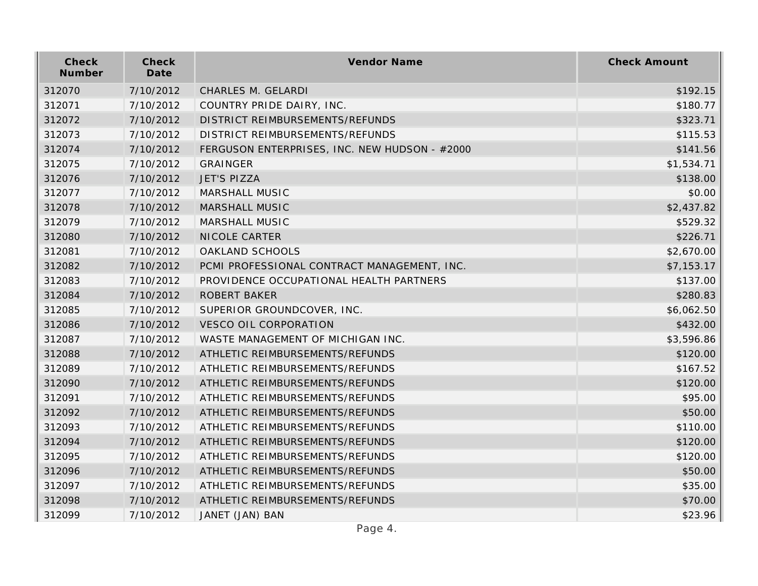| Check<br>Number | Check<br>Date | Vendor Name                                   | <b>Check Amount</b> |
|-----------------|---------------|-----------------------------------------------|---------------------|
| 312070          | 7/10/2012     | CHARLES M. GELARDI                            | \$192.15            |
| 312071          | 7/10/2012     | COUNTRY PRIDE DAIRY, INC.                     | \$180.77            |
| 312072          | 7/10/2012     | DISTRICT REIMBURSEMENTS/REFUNDS               | \$323.71            |
| 312073          | 7/10/2012     | DISTRICT REIMBURSEMENTS/REFUNDS               | \$115.53            |
| 312074          | 7/10/2012     | FERGUSON ENTERPRISES, INC. NEW HUDSON - #2000 | \$141.56            |
| 312075          | 7/10/2012     | GRAINGER                                      | \$1,534.71          |
| 312076          | 7/10/2012     | <b>JET'S PIZZA</b>                            | \$138.00            |
| 312077          | 7/10/2012     | MARSHALL MUSIC                                | \$0.00              |
| 312078          | 7/10/2012     | MARSHALL MUSIC                                | \$2,437.82          |
| 312079          | 7/10/2012     | MARSHALL MUSIC                                | \$529.32            |
| 312080          | 7/10/2012     | NICOLE CARTER                                 | \$226.71            |
| 312081          | 7/10/2012     | OAKLAND SCHOOLS                               | \$2,670.00          |
| 312082          | 7/10/2012     | PCMI PROFESSIONAL CONTRACT MANAGEMENT, INC.   | \$7,153.17          |
| 312083          | 7/10/2012     | PROVIDENCE OCCUPATIONAL HEALTH PARTNERS       | \$137.00            |
| 312084          | 7/10/2012     | <b>ROBERT BAKER</b>                           | \$280.83            |
| 312085          | 7/10/2012     | SUPERIOR GROUNDCOVER, INC.                    | \$6,062.50          |
| 312086          | 7/10/2012     | <b>VESCO OIL CORPORATION</b>                  | \$432.00            |
| 312087          | 7/10/2012     | WASTE MANAGEMENT OF MICHIGAN INC.             | \$3,596.86          |
| 312088          | 7/10/2012     | ATHLETIC REIMBURSEMENTS/REFUNDS               | \$120.00            |
| 312089          | 7/10/2012     | ATHLETIC REIMBURSEMENTS/REFUNDS               | \$167.52            |
| 312090          | 7/10/2012     | ATHLETIC REIMBURSEMENTS/REFUNDS               | \$120.00            |
| 312091          | 7/10/2012     | ATHLETIC REIMBURSEMENTS/REFUNDS               | \$95.00             |
| 312092          | 7/10/2012     | ATHLETIC REIMBURSEMENTS/REFUNDS               | \$50.00             |
| 312093          | 7/10/2012     | ATHLETIC REIMBURSEMENTS/REFUNDS               | \$110.00            |
| 312094          | 7/10/2012     | ATHLETIC REIMBURSEMENTS/REFUNDS               | \$120.00            |
| 312095          | 7/10/2012     | ATHLETIC REIMBURSEMENTS/REFUNDS               | \$120.00            |
| 312096          | 7/10/2012     | ATHLETIC REIMBURSEMENTS/REFUNDS               | \$50.00             |
| 312097          | 7/10/2012     | ATHLETIC REIMBURSEMENTS/REFUNDS               | \$35.00             |
| 312098          | 7/10/2012     | ATHLETIC REIMBURSEMENTS/REFUNDS               | \$70.00             |
| 312099          | 7/10/2012     | JANET (JAN) BAN                               | \$23.96             |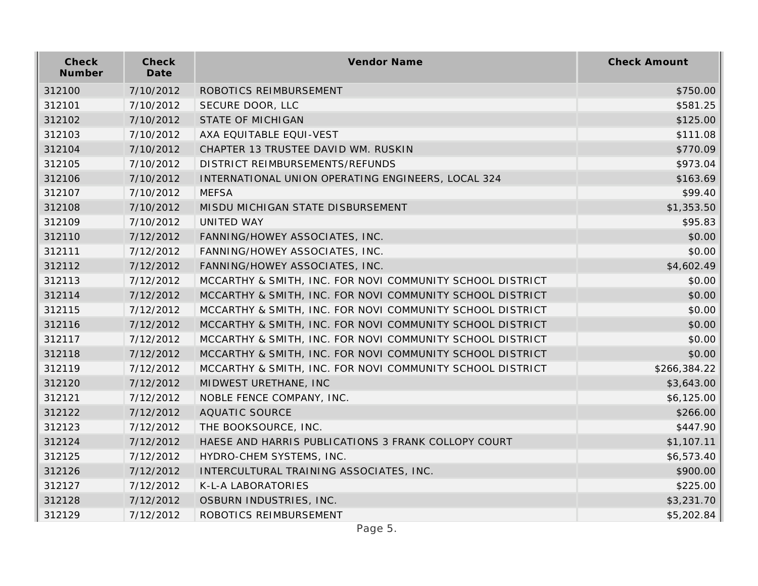| Check<br>Number | Check<br>Date | Vendor Name                                               | <b>Check Amount</b> |
|-----------------|---------------|-----------------------------------------------------------|---------------------|
| 312100          | 7/10/2012     | ROBOTICS REIMBURSEMENT                                    | \$750.00            |
| 312101          | 7/10/2012     | SECURE DOOR, LLC                                          | \$581.25            |
| 312102          | 7/10/2012     | <b>STATE OF MICHIGAN</b>                                  | \$125.00            |
| 312103          | 7/10/2012     | AXA EQUITABLE EQUI-VEST                                   | \$111.08            |
| 312104          | 7/10/2012     | CHAPTER 13 TRUSTEE DAVID WM. RUSKIN                       | \$770.09            |
| 312105          | 7/10/2012     | DISTRICT REIMBURSEMENTS/REFUNDS                           | \$973.04            |
| 312106          | 7/10/2012     | INTERNATIONAL UNION OPERATING ENGINEERS, LOCAL 324        | \$163.69            |
| 312107          | 7/10/2012     | <b>MEFSA</b>                                              | \$99.40             |
| 312108          | 7/10/2012     | MISDU MICHIGAN STATE DISBURSEMENT                         | \$1,353.50          |
| 312109          | 7/10/2012     | UNITED WAY                                                | \$95.83             |
| 312110          | 7/12/2012     | FANNING/HOWEY ASSOCIATES, INC.                            | \$0.00              |
| 312111          | 7/12/2012     | FANNING/HOWEY ASSOCIATES, INC.                            | \$0.00              |
| 312112          | 7/12/2012     | FANNING/HOWEY ASSOCIATES, INC.                            | \$4,602.49          |
| 312113          | 7/12/2012     | MCCARTHY & SMITH, INC. FOR NOVI COMMUNITY SCHOOL DISTRICT | \$0.00              |
| 312114          | 7/12/2012     | MCCARTHY & SMITH, INC. FOR NOVI COMMUNITY SCHOOL DISTRICT | \$0.00              |
| 312115          | 7/12/2012     | MCCARTHY & SMITH, INC. FOR NOVI COMMUNITY SCHOOL DISTRICT | \$0.00              |
| 312116          | 7/12/2012     | MCCARTHY & SMITH, INC. FOR NOVI COMMUNITY SCHOOL DISTRICT | \$0.00              |
| 312117          | 7/12/2012     | MCCARTHY & SMITH, INC. FOR NOVI COMMUNITY SCHOOL DISTRICT | \$0.00              |
| 312118          | 7/12/2012     | MCCARTHY & SMITH, INC. FOR NOVI COMMUNITY SCHOOL DISTRICT | \$0.00              |
| 312119          | 7/12/2012     | MCCARTHY & SMITH, INC. FOR NOVI COMMUNITY SCHOOL DISTRICT | \$266,384.22        |
| 312120          | 7/12/2012     | MIDWEST URETHANE, INC                                     | \$3,643.00          |
| 312121          | 7/12/2012     | NOBLE FENCE COMPANY, INC.                                 | \$6,125.00          |
| 312122          | 7/12/2012     | <b>AQUATIC SOURCE</b>                                     | \$266.00            |
| 312123          | 7/12/2012     | THE BOOKSOURCE, INC.                                      | \$447.90            |
| 312124          | 7/12/2012     | HAESE AND HARRIS PUBLICATIONS 3 FRANK COLLOPY COURT       | \$1,107.11          |
| 312125          | 7/12/2012     | HYDRO-CHEM SYSTEMS, INC.                                  | \$6,573.40          |
| 312126          | 7/12/2012     | INTERCULTURAL TRAINING ASSOCIATES, INC.                   | \$900.00            |
| 312127          | 7/12/2012     | K-L-A LABORATORIES                                        | \$225.00            |
| 312128          | 7/12/2012     | OSBURN INDUSTRIES, INC.                                   | \$3,231.70          |
| 312129          | 7/12/2012     | ROBOTICS REIMBURSEMENT                                    | \$5,202.84          |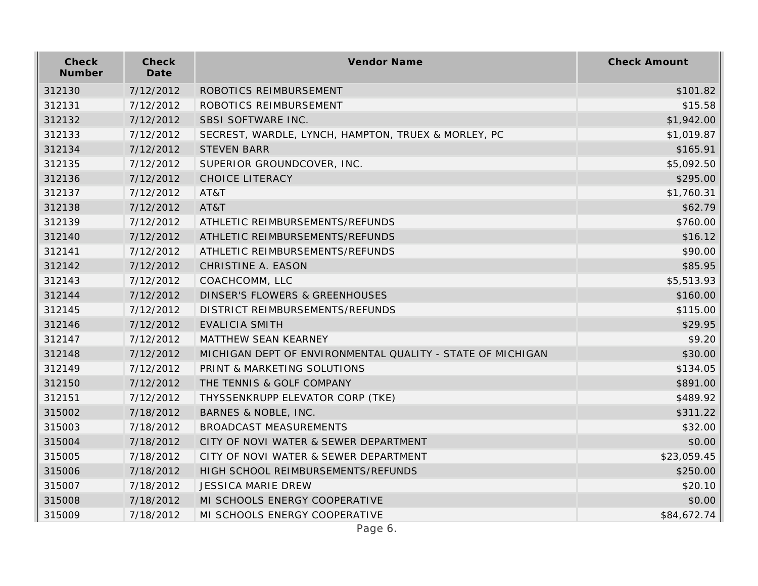| Check<br>Number | Check<br>Date | Vendor Name                                                | <b>Check Amount</b> |
|-----------------|---------------|------------------------------------------------------------|---------------------|
| 312130          | 7/12/2012     | ROBOTICS REIMBURSEMENT                                     | \$101.82            |
| 312131          | 7/12/2012     | ROBOTICS REIMBURSEMENT                                     | \$15.58             |
| 312132          | 7/12/2012     | SBSI SOFTWARE INC.                                         | \$1,942.00          |
| 312133          | 7/12/2012     | SECREST, WARDLE, LYNCH, HAMPTON, TRUEX & MORLEY, PC        | \$1,019.87          |
| 312134          | 7/12/2012     | <b>STEVEN BARR</b>                                         | \$165.91            |
| 312135          | 7/12/2012     | SUPERIOR GROUNDCOVER, INC.                                 | \$5,092.50          |
| 312136          | 7/12/2012     | CHOICE LITERACY                                            | \$295.00            |
| 312137          | 7/12/2012     | AT&T                                                       | \$1,760.31          |
| 312138          | 7/12/2012     | AT&T                                                       | \$62.79             |
| 312139          | 7/12/2012     | ATHLETIC REIMBURSEMENTS/REFUNDS                            | \$760.00            |
| 312140          | 7/12/2012     | ATHLETIC REIMBURSEMENTS/REFUNDS                            | \$16.12             |
| 312141          | 7/12/2012     | ATHLETIC REIMBURSEMENTS/REFUNDS                            | \$90.00             |
| 312142          | 7/12/2012     | CHRISTINE A. EASON                                         | \$85.95             |
| 312143          | 7/12/2012     | COACHCOMM, LLC                                             | \$5,513.93          |
| 312144          | 7/12/2012     | <b>DINSER'S FLOWERS &amp; GREENHOUSES</b>                  | \$160.00            |
| 312145          | 7/12/2012     | DISTRICT REIMBURSEMENTS/REFUNDS                            | \$115.00            |
| 312146          | 7/12/2012     | <b>EVALICIA SMITH</b>                                      | \$29.95             |
| 312147          | 7/12/2012     | MATTHEW SEAN KEARNEY                                       | \$9.20              |
| 312148          | 7/12/2012     | MICHIGAN DEPT OF ENVIRONMENTAL QUALITY - STATE OF MICHIGAN | \$30.00             |
| 312149          | 7/12/2012     | PRINT & MARKETING SOLUTIONS                                | \$134.05            |
| 312150          | 7/12/2012     | THE TENNIS & GOLF COMPANY                                  | \$891.00            |
| 312151          | 7/12/2012     | THYSSENKRUPP ELEVATOR CORP (TKE)                           | \$489.92            |
| 315002          | 7/18/2012     | BARNES & NOBLE, INC.                                       | \$311.22            |
| 315003          | 7/18/2012     | <b>BROADCAST MEASUREMENTS</b>                              | \$32.00             |
| 315004          | 7/18/2012     | CITY OF NOVI WATER & SEWER DEPARTMENT                      | \$0.00              |
| 315005          | 7/18/2012     | CITY OF NOVI WATER & SEWER DEPARTMENT                      | \$23,059.45         |
| 315006          | 7/18/2012     | HIGH SCHOOL REIMBURSEMENTS/REFUNDS                         | \$250.00            |
| 315007          | 7/18/2012     | <b>JESSICA MARIE DREW</b>                                  | \$20.10             |
| 315008          | 7/18/2012     | MI SCHOOLS ENERGY COOPERATIVE                              | \$0.00              |
| 315009          | 7/18/2012     | MI SCHOOLS ENERGY COOPERATIVE                              | \$84,672.74         |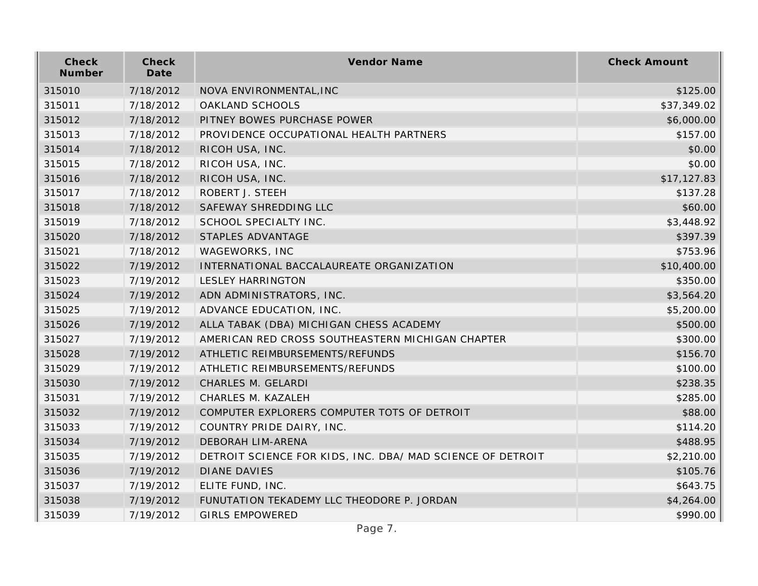| Check<br>Number | Check<br>Date | Vendor Name                                                | <b>Check Amount</b> |
|-----------------|---------------|------------------------------------------------------------|---------------------|
| 315010          | 7/18/2012     | NOVA ENVIRONMENTAL, INC                                    | \$125.00            |
| 315011          | 7/18/2012     | OAKLAND SCHOOLS                                            | \$37,349.02         |
| 315012          | 7/18/2012     | PITNEY BOWES PURCHASE POWER                                | \$6,000.00          |
| 315013          | 7/18/2012     | PROVIDENCE OCCUPATIONAL HEALTH PARTNERS                    | \$157.00            |
| 315014          | 7/18/2012     | RICOH USA, INC.                                            | \$0.00              |
| 315015          | 7/18/2012     | RICOH USA, INC.                                            | \$0.00              |
| 315016          | 7/18/2012     | RICOH USA, INC.                                            | \$17,127.83         |
| 315017          | 7/18/2012     | ROBERT J. STEEH                                            | \$137.28            |
| 315018          | 7/18/2012     | SAFEWAY SHREDDING LLC                                      | \$60.00             |
| 315019          | 7/18/2012     | SCHOOL SPECIALTY INC.                                      | \$3,448.92          |
| 315020          | 7/18/2012     | STAPLES ADVANTAGE                                          | \$397.39            |
| 315021          | 7/18/2012     | WAGEWORKS, INC                                             | \$753.96            |
| 315022          | 7/19/2012     | INTERNATIONAL BACCALAUREATE ORGANIZATION                   | \$10,400.00         |
| 315023          | 7/19/2012     | <b>LESLEY HARRINGTON</b>                                   | \$350.00            |
| 315024          | 7/19/2012     | ADN ADMINISTRATORS, INC.                                   | \$3,564.20          |
| 315025          | 7/19/2012     | ADVANCE EDUCATION, INC.                                    | \$5,200.00          |
| 315026          | 7/19/2012     | ALLA TABAK (DBA) MICHIGAN CHESS ACADEMY                    | \$500.00            |
| 315027          | 7/19/2012     | AMERICAN RED CROSS SOUTHEASTERN MICHIGAN CHAPTER           | \$300.00            |
| 315028          | 7/19/2012     | ATHLETIC REIMBURSEMENTS/REFUNDS                            | \$156.70            |
| 315029          | 7/19/2012     | ATHLETIC REIMBURSEMENTS/REFUNDS                            | \$100.00            |
| 315030          | 7/19/2012     | CHARLES M. GELARDI                                         | \$238.35            |
| 315031          | 7/19/2012     | CHARLES M. KAZALEH                                         | \$285.00            |
| 315032          | 7/19/2012     | COMPUTER EXPLORERS COMPUTER TOTS OF DETROIT                | \$88.00             |
| 315033          | 7/19/2012     | COUNTRY PRIDE DAIRY, INC.                                  | \$114.20            |
| 315034          | 7/19/2012     | DEBORAH LIM-ARENA                                          | \$488.95            |
| 315035          | 7/19/2012     | DETROIT SCIENCE FOR KIDS, INC. DBA/ MAD SCIENCE OF DETROIT | \$2,210.00          |
| 315036          | 7/19/2012     | <b>DIANE DAVIES</b>                                        | \$105.76            |
| 315037          | 7/19/2012     | ELITE FUND, INC.                                           | \$643.75            |
| 315038          | 7/19/2012     | FUNUTATION TEKADEMY LLC THEODORE P. JORDAN                 | \$4,264.00          |
| 315039          | 7/19/2012     | <b>GIRLS EMPOWERED</b>                                     | \$990.00            |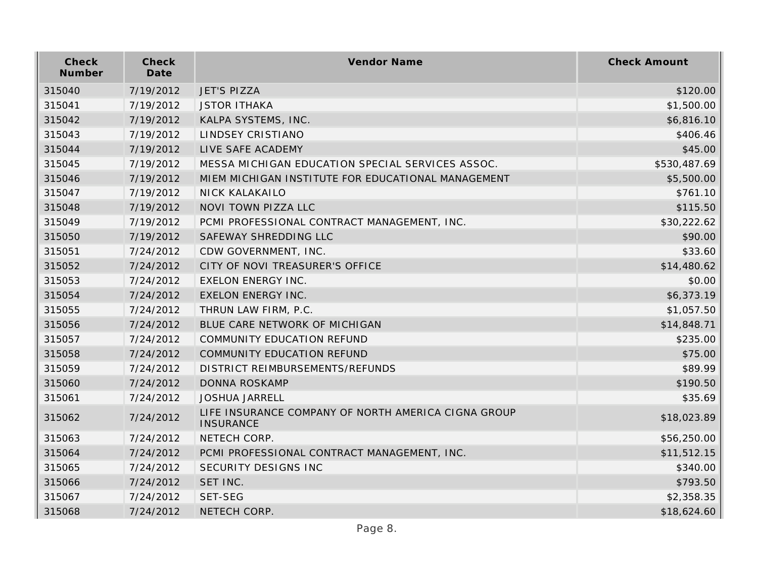| Check<br>Number | Check<br>Date | Vendor Name                                                             | <b>Check Amount</b> |
|-----------------|---------------|-------------------------------------------------------------------------|---------------------|
| 315040          | 7/19/2012     | <b>JET'S PIZZA</b>                                                      | \$120.00            |
| 315041          | 7/19/2012     | <b>JSTOR ITHAKA</b>                                                     | \$1,500.00          |
| 315042          | 7/19/2012     | KALPA SYSTEMS, INC.                                                     | \$6,816.10          |
| 315043          | 7/19/2012     | LINDSEY CRISTIANO                                                       | \$406.46            |
| 315044          | 7/19/2012     | LIVE SAFE ACADEMY                                                       | \$45.00             |
| 315045          | 7/19/2012     | MESSA MICHIGAN EDUCATION SPECIAL SERVICES ASSOC.                        | \$530,487.69        |
| 315046          | 7/19/2012     | MIEM MICHIGAN INSTITUTE FOR EDUCATIONAL MANAGEMENT                      | \$5,500.00          |
| 315047          | 7/19/2012     | <b>NICK KALAKAILO</b>                                                   | \$761.10            |
| 315048          | 7/19/2012     | NOVI TOWN PIZZA LLC                                                     | \$115.50            |
| 315049          | 7/19/2012     | PCMI PROFESSIONAL CONTRACT MANAGEMENT, INC.                             | \$30,222.62         |
| 315050          | 7/19/2012     | SAFEWAY SHREDDING LLC                                                   | \$90.00             |
| 315051          | 7/24/2012     | CDW GOVERNMENT, INC.                                                    | \$33.60             |
| 315052          | 7/24/2012     | CITY OF NOVI TREASURER'S OFFICE                                         | \$14,480.62         |
| 315053          | 7/24/2012     | <b>EXELON ENERGY INC.</b>                                               | \$0.00              |
| 315054          | 7/24/2012     | <b>EXELON ENERGY INC.</b>                                               | \$6,373.19          |
| 315055          | 7/24/2012     | THRUN LAW FIRM, P.C.                                                    | \$1,057.50          |
| 315056          | 7/24/2012     | BLUE CARE NETWORK OF MICHIGAN                                           | \$14,848.71         |
| 315057          | 7/24/2012     | COMMUNITY EDUCATION REFUND                                              | \$235.00            |
| 315058          | 7/24/2012     | COMMUNITY EDUCATION REFUND                                              | \$75.00             |
| 315059          | 7/24/2012     | DISTRICT REIMBURSEMENTS/REFUNDS                                         | \$89.99             |
| 315060          | 7/24/2012     | <b>DONNA ROSKAMP</b>                                                    | \$190.50            |
| 315061          | 7/24/2012     | <b>JOSHUA JARRELL</b>                                                   | \$35.69             |
| 315062          | 7/24/2012     | LIFE INSURANCE COMPANY OF NORTH AMERICA CIGNA GROUP<br><b>INSURANCE</b> | \$18,023.89         |
| 315063          | 7/24/2012     | NETECH CORP.                                                            | \$56,250.00         |
| 315064          | 7/24/2012     | PCMI PROFESSIONAL CONTRACT MANAGEMENT, INC.                             | \$11,512.15         |
| 315065          | 7/24/2012     | <b>SECURITY DESIGNS INC</b>                                             | \$340.00            |
| 315066          | 7/24/2012     | SET INC.                                                                | \$793.50            |
| 315067          | 7/24/2012     | <b>SET-SEG</b>                                                          | \$2,358.35          |
| 315068          | 7/24/2012     | NETECH CORP.                                                            | \$18,624.60         |